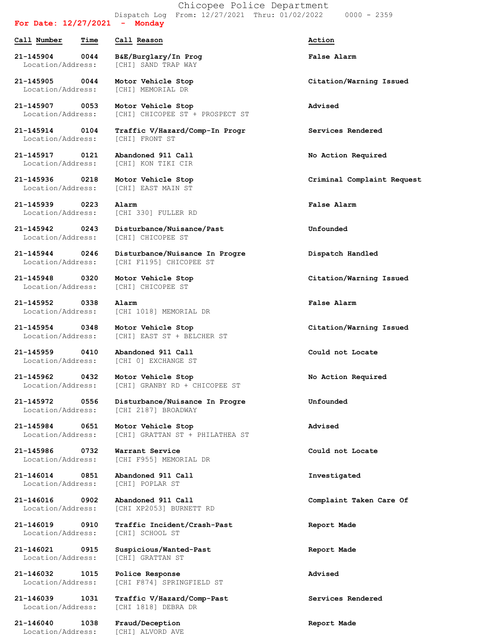Chicopee Police Department Dispatch Log From: 12/27/2021 Thru: 01/02/2022 0000 - 2359

## **For Date: 12/27/2021 - Monday**

**Call Number Time Call Reason Action 21-145904 0044 B&E/Burglary/In Prog False Alarm** Location/Address: [CHI] SAND TRAP WAY

**21-145905 0044 Motor Vehicle Stop Citation/Warning Issued** Location/Address: [CHI] MEMORIAL DR

**21-145907 0053 Motor Vehicle Stop Advised** Location/Address: [CHI] CHICOPEE ST + PROSPECT ST

**21-145914 0104 Traffic V/Hazard/Comp-In Progr Services Rendered** Location/Address: [CHI] FRONT ST

**21-145917 0121 Abandoned 911 Call No Action Required** Location/Address: [CHI] KON TIKI CIR

Location/Address: [CHI] EAST MAIN ST

**21-145939 0223 Alarm False Alarm** Location/Address: [CHI 330] FULLER RD

**21-145942 0243 Disturbance/Nuisance/Past Unfounded** Location/Address: [CHI] CHICOPEE ST

**21-145944 0246 Disturbance/Nuisance In Progre Dispatch Handled** Location/Address: [CHI F1195] CHICOPEE ST

**21-145948 0320 Motor Vehicle Stop Citation/Warning Issued** Location/Address: [CHI] CHICOPEE ST

**21-145952 0338 Alarm False Alarm** Location/Address: [CHI 1018] MEMORIAL DR

**21-145954 0348 Motor Vehicle Stop Citation/Warning Issued** Location/Address: [CHI] EAST ST + BELCHER ST

**21-145959 0410 Abandoned 911 Call Could not Locate** Location/Address: [CHI 0] EXCHANGE ST

**21-145962 0432 Motor Vehicle Stop No Action Required** Location/Address: [CHI] GRANBY RD + CHICOPEE ST

**21-145972 0556 Disturbance/Nuisance In Progre Unfounded** Location/Address: [CHI 2187] BROADWAY

**21-145984 0651 Motor Vehicle Stop Advised** Location/Address: [CHI] GRATTAN ST + PHILATHEA ST

**21-145986 0732 Warrant Service Could not Locate** Location/Address: [CHI F955] MEMORIAL DR

**21-146014 0851 Abandoned 911 Call Investigated** Location/Address: [CHI] POPLAR ST

**21-146016 0902 Abandoned 911 Call Complaint Taken Care Of** Location/Address: [CHI XP2053] BURNETT RD

**21-146019 0910 Traffic Incident/Crash-Past Report Made** Location/Address: [CHI] SCHOOL ST

**21-146021 0915 Suspicious/Wanted-Past Report Made** Location/Address: [CHI] GRATTAN ST

**21-146032 1015 Police Response Advised** Location/Address: [CHI F874] SPRINGFIELD ST

**21-146039 1031 Traffic V/Hazard/Comp-Past Services Rendered** Location/Address: [CHI 1818] DEBRA DR

**21-146040 1038 Fraud/Deception Report Made** Location/Address: [CHI] ALVORD AVE

**21-145936 0218 Motor Vehicle Stop Criminal Complaint Request**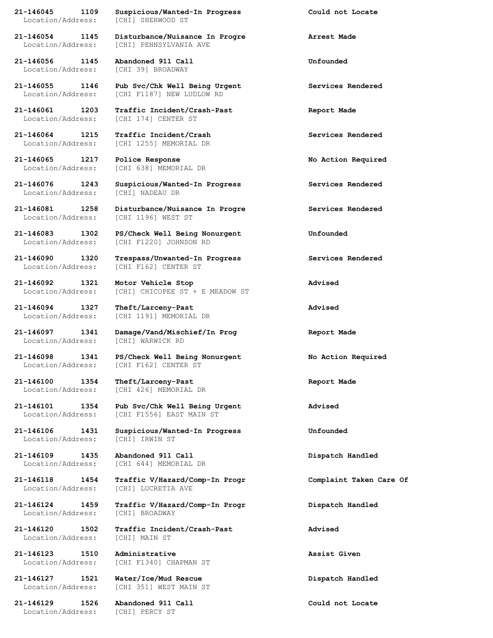Location/Address: [CHI] SHERWOOD ST

**21-146056 1145 Abandoned 911 Call Unfounded** Location/Address: [CHI 39] BROADWAY

**21-146065 1217 Police Response No Action Required**

Location/Address: [CHI] NADEAU DR

**21-146094 1327 Theft/Larceny-Past Advised**

Location/Address: [CHI] WARWICK RD

Location/Address: [CHI] IRWIN ST

Location/Address: [CHI] LUCRETIA AVE

Location/Address: [CHI] MAIN ST

**21-146123 1510 Administrative Assist Given**

**21-146127 1521 Water/Ice/Mud Rescue Dispatch Handled**

**21-146129 1526 Abandoned 911 Call Could not Locate** Location/Address: [CHI] PERCY ST

**21-146045 1109 Suspicious/Wanted-In Progress Could not Locate**

**21-146054 1145 Disturbance/Nuisance In Progre Arrest Made** Location/Address: [CHI] PENNSYLVANIA AVE

**21-146055 1146 Pub Svc/Chk Well Being Urgent Services Rendered** Location/Address: [CHI F1187] NEW LUDLOW RD

**21-146061 1203 Traffic Incident/Crash-Past Report Made** Location/Address: [CHI 174] CENTER ST

**21-146064 1215 Traffic Incident/Crash Services Rendered** Location/Address: [CHI 1255] MEMORIAL DR

Location/Address: [CHI 638] MEMORIAL DR

**21-146076 1243 Suspicious/Wanted-In Progress Services Rendered**

**21-146081 1258 Disturbance/Nuisance In Progre Services Rendered** Location/Address: [CHI 1196] WEST ST

**21-146083 1302 PS/Check Well Being Nonurgent Unfounded** Location/Address: [CHI F1220] JOHNSON RD

**21-146090 1320 Trespass/Unwanted-In Progress Services Rendered** Location/Address: [CHI F162] CENTER ST

**21-146092 1321 Motor Vehicle Stop Advised** Location/Address: [CHI] CHICOPEE ST + E MEADOW ST

Location/Address: [CHI 1191] MEMORIAL DR

**21-146097 1341 Damage/Vand/Mischief/In Prog Report Made**

**21-146098 1341 PS/Check Well Being Nonurgent No Action Required** Location/Address: [CHI F162] CENTER ST

**21-146100 1354 Theft/Larceny-Past Report Made** Location/Address: [CHI 426] MEMORIAL DR

**21-146101 1354 Pub Svc/Chk Well Being Urgent Advised** Location/Address: [CHI F1556] EAST MAIN ST

**21-146106 1431 Suspicious/Wanted-In Progress Unfounded**

**21-146109 1435 Abandoned 911 Call Dispatch Handled** Location/Address: [CHI 644] MEMORIAL DR

**21-146118 1454 Traffic V/Hazard/Comp-In Progr Complaint Taken Care Of**

**21-146124 1459 Traffic V/Hazard/Comp-In Progr Dispatch Handled** Location/Address: [CHI] BROADWAY

**21-146120 1502 Traffic Incident/Crash-Past Advised**

Location/Address: [CHI F1340] CHAPMAN ST

Location/Address: [CHI 351] WEST MAIN ST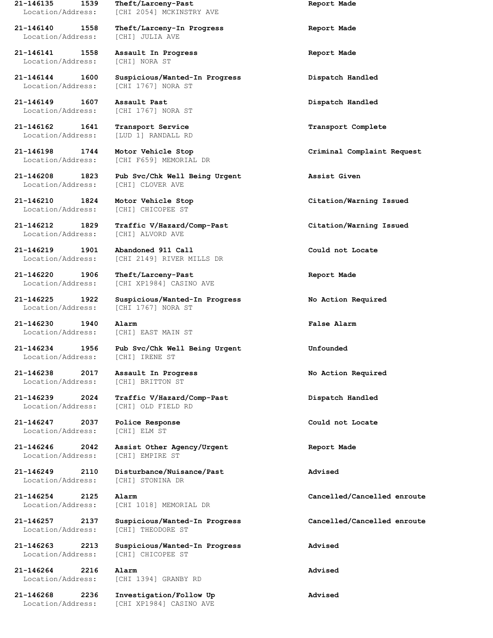Location/Address: [CHI] JULIA AVE

**21-146141 1558 Assault In Progress Report Made** Location/Address: [CHI] NORA ST

Location/Address: [CHI 1767] NORA ST

**21-146149 1607 Assault Past Dispatch Handled** Location/Address: [CHI 1767] NORA ST

**21-146162 1641 Transport Service Transport Complete** Location/Address: [LUD 1] RANDALL RD

**21-146210 1824 Motor Vehicle Stop Citation/Warning Issued**

Location/Address: [CHI 1767] NORA ST

**21-146230 1940 Alarm False Alarm** Location/Address: [CHI] EAST MAIN ST

Location/Address: [CHI] IRENE ST

**21-146238 2017 Assault In Progress No Action Required** Location/Address: [CHI] BRITTON ST

**21-146247 2037 Police Response Could not Locate** Location/Address: [CHI] ELM ST

Location/Address: [CHI] EMPIRE ST

Location/Address: [CHI] STONINA DR

Location/Address: [CHI] THEODORE ST

**21-146264 2216 Alarm Advised**

**21-146135 1539 Theft/Larceny-Past Report Made** Location/Address: [CHI 2054] MCKINSTRY AVE

**21-146140 1558 Theft/Larceny-In Progress Report Made**

**21-146144 1600 Suspicious/Wanted-In Progress Dispatch Handled**

Location/Address: [CHI F659] MEMORIAL DR

**21-146208 1823 Pub Svc/Chk Well Being Urgent Assist Given** Location/Address: [CHI] CLOVER AVE

Location/Address: [CHI] CHICOPEE ST

**21-146212 1829 Traffic V/Hazard/Comp-Past Citation/Warning Issued** Location/Address: [CHI] ALVORD AVE

**21-146219 1901 Abandoned 911 Call Could not Locate** Location/Address: [CHI 2149] RIVER MILLS DR

**21-146220 1906 Theft/Larceny-Past Report Made** Location/Address: [CHI XP1984] CASINO AVE

**21-146225 1922 Suspicious/Wanted-In Progress No Action Required**

**21-146234 1956 Pub Svc/Chk Well Being Urgent Unfounded**

**21-146239 2024 Traffic V/Hazard/Comp-Past Dispatch Handled** Location/Address: [CHI] OLD FIELD RD

**21-146246 2042 Assist Other Agency/Urgent Report Made**

**21-146249 2110 Disturbance/Nuisance/Past Advised**

Location/Address: [CHI 1018] MEMORIAL DR

**21-146263 2213 Suspicious/Wanted-In Progress Advised** Location/Address: [CHI] CHICOPEE ST

Location/Address: [CHI 1394] GRANBY RD

**21-146268 2236 Investigation/Follow Up Advised** Location/Address: [CHI XP1984] CASINO AVE

**21-146198 1744 Motor Vehicle Stop Criminal Complaint Request**

**21-146254 2125 Alarm Cancelled/Cancelled enroute**

**21-146257 2137 Suspicious/Wanted-In Progress Cancelled/Cancelled enroute**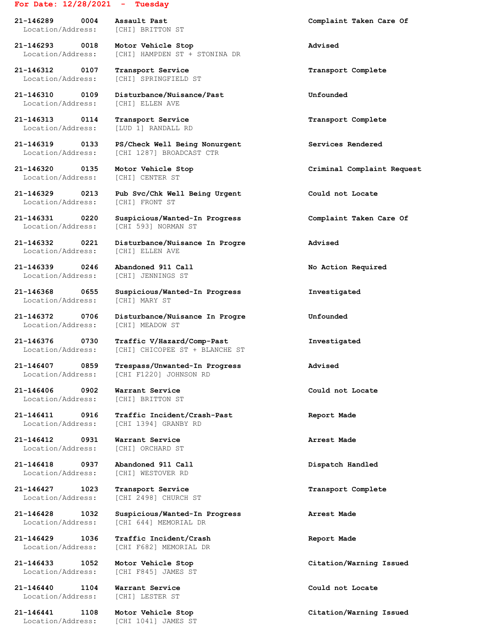# **For Date: 12/28/2021 - Tuesday**

**21-146289 0004 Assault Past Complaint Taken Care Of** Location/Address: [CHI] BRITTON ST

**21-146293 0018 Motor Vehicle Stop Advised** Location/Address: [CHI] HAMPDEN ST + STONINA DR

**21-146312 0107 Transport Service Transport Complete**

**21-146313 0114 Transport Service Transport Complete** Location/Address: [LUD 1] RANDALL RD

Location/Address: [CHI] CENTER ST

Location/Address: [CHI] FRONT ST

Location/Address: [CHI] ELLEN AVE

**21-146339 0246 Abandoned 911 Call No Action Required** Location/Address: [CHI] JENNINGS ST

Location/Address: [CHI] MARY ST

Location/Address: [CHI] MEADOW ST

Location/Address: [CHI] CHICOPEE ST + BLANCHE ST

Location/Address: [CHI F1220] JOHNSON RD

**21-146406 0902 Warrant Service Could not Locate** Location/Address: [CHI] BRITTON ST

**21-146412 0931 Warrant Service Arrest Made** Location/Address: [CHI] ORCHARD ST

**21-146418 0937 Abandoned 911 Call Dispatch Handled**

**21-146427 1023 Transport Service Transport Complete**

Location/Address: [CHI 644] MEMORIAL DR

Location/Address: [CHI F845] JAMES ST

**21-146440 1104 Warrant Service Could not Locate** Location/Address: [CHI] LESTER ST

Location/Address: [CHI 1041] JAMES ST

Location/Address: [CHI] SPRINGFIELD ST

**21-146310 0109 Disturbance/Nuisance/Past Unfounded** Location/Address: [CHI] ELLEN AVE

**21-146319 0133 PS/Check Well Being Nonurgent Services Rendered** [CHI 1287] BROADCAST CTR

**21-146329 0213 Pub Svc/Chk Well Being Urgent Could not Locate**

**21-146331 0220 Suspicious/Wanted-In Progress Complaint Taken Care Of** Location/Address: [CHI 593] NORMAN ST

**21-146332 0221 Disturbance/Nuisance In Progre Advised**

**21-146368 0655 Suspicious/Wanted-In Progress Investigated**

**21-146372 0706 Disturbance/Nuisance In Progre Unfounded**

**21-146376 0730 Traffic V/Hazard/Comp-Past Investigated**

**21-146407 0859 Trespass/Unwanted-In Progress Advised**

**21-146411 0916 Traffic Incident/Crash-Past Report Made** Location/Address: [CHI 1394] GRANBY RD

Location/Address: [CHI] WESTOVER RD

Location/Address: [CHI 2498] CHURCH ST

**21-146428 1032 Suspicious/Wanted-In Progress Arrest Made**

**21-146429 1036 Traffic Incident/Crash Report Made** Location/Address: [CHI F682] MEMORIAL DR

**21-146320 0135 Motor Vehicle Stop Criminal Complaint Request**

**21-146433 1052 Motor Vehicle Stop Citation/Warning Issued**

**21-146441 1108 Motor Vehicle Stop Citation/Warning Issued**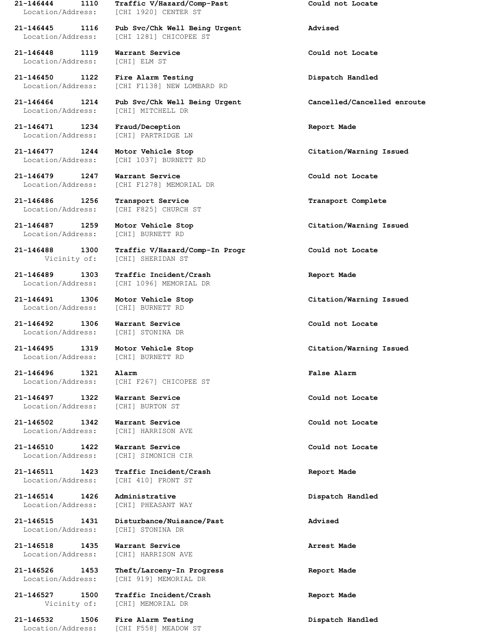Location/Address: [CHI 1920] CENTER ST

**21-146448 1119 Warrant Service Could not Locate** Location/Address: [CHI] ELM ST

**21-146471 1234 Fraud/Deception Report Made** Location/Address: [CHI] PARTRIDGE LN

**21-146486 1256 Transport Service Transport Complete**

**21-146487 1259 Motor Vehicle Stop Citation/Warning Issued**

**21-146489 1303 Traffic Incident/Crash Report Made**

**21-146492 1306 Warrant Service Could not Locate** Location/Address: [CHI] STONINA DR

Location/Address: [CHI] BURNETT RD

**21-146497 1322 Warrant Service Could not Locate**

**21-146502 1342 Warrant Service Could not Locate**

**21-146510 1422 Warrant Service Could not Locate** Location/Address: [CHI] SIMONICH CIR

Location/Address: [CHI 410] FRONT ST

**21-146514 1426 Administrative Dispatch Handled**

Location/Address: [CHI] STONINA DR

**21-146518 1435 Warrant Service Arrest Made** Location/Address: [CHI] HARRISON AVE

**21-146527 1500 Traffic Incident/Crash Report Made**

**21-146532 1506 Fire Alarm Testing Dispatch Handled** Location/Address: [CHI F558] MEADOW ST

**21-146444 1110 Traffic V/Hazard/Comp-Past Could not Locate**

**21-146445 1116 Pub Svc/Chk Well Being Urgent Advised** Location/Address: [CHI 1281] CHICOPEE ST

**21-146450 1122 Fire Alarm Testing Dispatch Handled** Location/Address: [CHI F1138] NEW LOMBARD RD

**21-146464 1214 Pub Svc/Chk Well Being Urgent Cancelled/Cancelled enroute** Location/Address: [CHI] MITCHELL DR

Location/Address: [CHI 1037] BURNETT RD

**21-146479 1247 Warrant Service Could not Locate** Location/Address: [CHI F1278] MEMORIAL DR

Location/Address: [CHI F825] CHURCH ST

Location/Address: [CHI] BURNETT RD

**21-146488 1300 Traffic V/Hazard/Comp-In Progr Could not Locate** Vicinity of: [CHI] SHERIDAN ST

Location/Address: [CHI 1096] MEMORIAL DR

Location/Address: [CHI] BURNETT RD

**21-146495 1319 Motor Vehicle Stop Citation/Warning Issued**

**21-146496 1321 Alarm False Alarm** [CHI F267] CHICOPEE ST

Location/Address: [CHI] BURTON ST

Location/Address: [CHI] HARRISON AVE

**21-146511 1423 Traffic Incident/Crash Report Made**

Location/Address: [CHI] PHEASANT WAY

**21-146515 1431 Disturbance/Nuisance/Past Advised**

**21-146526 1453 Theft/Larceny-In Progress Report Made** Location/Address: [CHI 919] MEMORIAL DR

Vicinity of: [CHI] MEMORIAL DR

**21-146477 1244 Motor Vehicle Stop Citation/Warning Issued**

**21-146491 1306 Motor Vehicle Stop Citation/Warning Issued**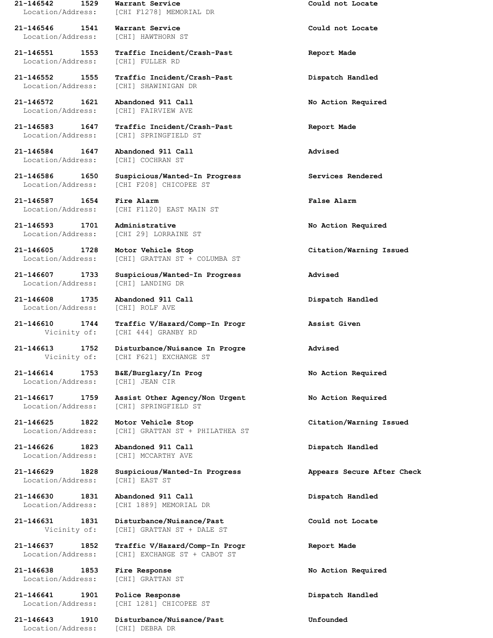**21-146546 1541 Warrant Service Could not Locate** Location/Address: [CHI] HAWTHORN ST

Location/Address: [CHI] FULLER RD

**21-146572 1621 Abandoned 911 Call No Action Required** Location/Address: [CHI] FAIRVIEW AVE

Location/Address: [CHI] COCHRAN ST

**21-146587 1654 Fire Alarm False Alarm**

**21-146593 1701 Administrative No Action Required**

Location/Address: [CHI] LANDING DR

**21-146608 1735 Abandoned 911 Call Dispatch Handled** Location/Address: [CHI] ROLF AVE

Location/Address: [CHI] JEAN CIR

**21-146626 1823 Abandoned 911 Call Dispatch Handled**

Location/Address: [CHI] EAST ST

**21-146630 1831 Abandoned 911 Call Dispatch Handled**

**21-146638 1853 Fire Response No Action Required** Location/Address: [CHI] GRATTAN ST

**21-146641 1901 Police Response Dispatch Handled**

Location/Address: [CHI] DEBRA DR

**21-146542 1529 Warrant Service Could not Locate** Location/Address: [CHI F1278] MEMORIAL DR

**21-146551 1553 Traffic Incident/Crash-Past Report Made**

**21-146552 1555 Traffic Incident/Crash-Past Dispatch Handled** Location/Address: [CHI] SHAWINIGAN DR

**21-146583 1647 Traffic Incident/Crash-Past Report Made** Location/Address: [CHI] SPRINGFIELD ST

**21-146584 1647 Abandoned 911 Call Advised**

**21-146586 1650 Suspicious/Wanted-In Progress Services Rendered** Location/Address: [CHI F208] CHICOPEE ST

Location/Address: [CHI F1120] EAST MAIN ST

Location/Address: [CHI 29] LORRAINE ST

Location/Address: [CHI] GRATTAN ST + COLUMBA ST

**21-146607 1733 Suspicious/Wanted-In Progress Advised**

**21-146610 1744 Traffic V/Hazard/Comp-In Progr Assist Given** Vicinity of: [CHI 444] GRANBY RD

**21-146613 1752 Disturbance/Nuisance In Progre Advised** Vicinity of: [CHI F621] EXCHANGE ST

**21-146614 1753 B&E/Burglary/In Prog No Action Required**

**21-146617 1759 Assist Other Agency/Non Urgent No Action Required** Location/Address: [CHI] SPRINGFIELD ST

**21-146625 1822 Motor Vehicle Stop Citation/Warning Issued** Location/Address: [CHI] GRATTAN ST + PHILATHEA ST

Location/Address: [CHI] MCCARTHY AVE

**21-146629 1828 Suspicious/Wanted-In Progress Appears Secure After Check**

Location/Address: [CHI 1889] MEMORIAL DR

**21-146631 1831 Disturbance/Nuisance/Past Could not Locate** Vicinity of: [CHI] GRATTAN ST + DALE ST

**21-146637 1852 Traffic V/Hazard/Comp-In Progr Report Made** Location/Address: [CHI] EXCHANGE ST + CABOT ST

Location/Address: [CHI 1281] CHICOPEE ST

**21-146643 1910 Disturbance/Nuisance/Past Unfounded**

**21-146605 1728 Motor Vehicle Stop Citation/Warning Issued**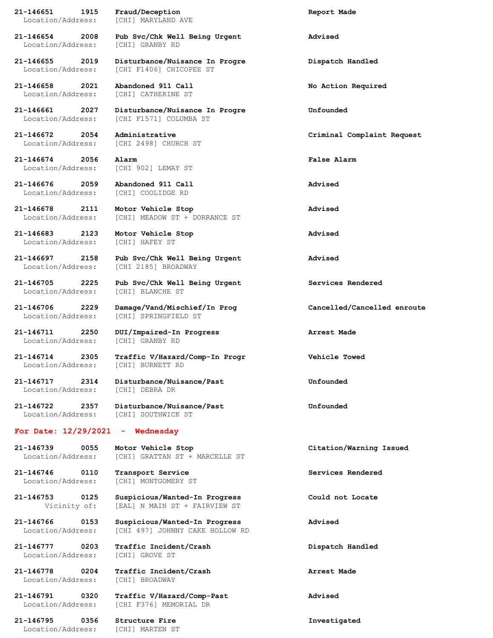**21-146651 1915 Fraud/Deception Report Made** Location/Address: [CHI] MARYLAND AVE

Location/Address: [CHI] GRANBY RD

**21-146658 2021 Abandoned 911 Call No Action Required**

**21-146674 2056 Alarm False Alarm**

**21-146683 2123 Motor Vehicle Stop Advised** Location/Address: [CHI] HAFEY ST

Location/Address: [CHI] BLANCHE ST

Location/Address: [CHI] BURNETT RD

#### **For Date: 12/29/2021 - Wednesday**

Location/Address: [CHI] GRATTAN ST + MARCELLE ST

**21-146746 0110 Transport Service Services Rendered** Location/Address: [CHI] MONTGOMERY ST

**21-146753 0125 Suspicious/Wanted-In Progress Could not Locate** Vicinity of: [EAL] N MAIN ST + FAIRVIEW ST

Location/Address: [CHI] GROVE ST

Location/Address: [CHI] BROADWAY

**21-146795 0356 Structure Fire Investigated** Location/Address: [CHI] MARTEN ST

**21-146654 2008 Pub Svc/Chk Well Being Urgent Advised**

**21-146655 2019 Disturbance/Nuisance In Progre Dispatch Handled** Location/Address: [CHI F1406] CHICOPEE ST

Location/Address: [CHI] CATHERINE ST

**21-146661 2027 Disturbance/Nuisance In Progre Unfounded** Location/Address: [CHI F1571] COLUMBA ST

Location/Address: [CHI 2498] CHURCH ST

Location/Address: [CHI 902] LEMAY ST

**21-146676 2059 Abandoned 911 Call Advised** Location/Address: [CHI] COOLIDGE RD

**21-146678 2111 Motor Vehicle Stop Advised** Location/Address: [CHI] MEADOW ST + DORRANCE ST

**21-146697 2158 Pub Svc/Chk Well Being Urgent Advised** Location/Address: [CHI 2185] BROADWAY

**21-146705 2225 Pub Svc/Chk Well Being Urgent Services Rendered**

**21-146706 2229 Damage/Vand/Mischief/In Prog Cancelled/Cancelled enroute** Location/Address: [CHI] SPRINGFIELD ST

**21-146711 2250 DUI/Impaired-In Progress Arrest Made** Location/Address: [CHI] GRANBY RD

**21-146714 2305 Traffic V/Hazard/Comp-In Progr Vehicle Towed**

**21-146717 2314 Disturbance/Nuisance/Past Unfounded** Location/Address: [CHI] DEBRA DR

**21-146722 2357 Disturbance/Nuisance/Past Unfounded** Location/Address: [CHI] SOUTHWICK ST

**21-146739 0055 Motor Vehicle Stop Citation/Warning Issued**

**21-146766 0153 Suspicious/Wanted-In Progress Advised** Location/Address: [CHI 497] JOHNNY CAKE HOLLOW RD

**21-146777 0203 Traffic Incident/Crash Dispatch Handled**

**21-146778 0204 Traffic Incident/Crash Arrest Made**

**21-146791 0320 Traffic V/Hazard/Comp-Past Advised** Location/Address: [CHI F376] MEMORIAL DR

**21-146672 2054 Administrative Criminal Complaint Request**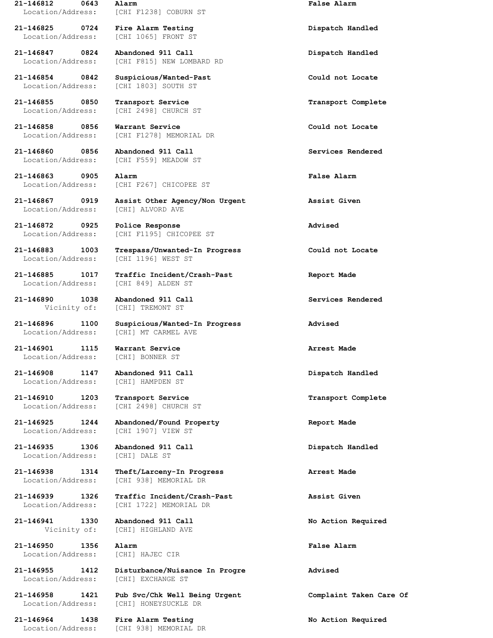**21-146825 0724 Fire Alarm Testing Dispatch Handled** Location/Address: [CHI 1065] FRONT ST

**21-146854 0842 Suspicious/Wanted-Past Could not Locate**

**21-146855 0850 Transport Service Transport Complete**

**21-146858 0856 Warrant Service Could not Locate**

**21-146860 0856 Abandoned 911 Call Services Rendered**

**21-146863 0905 Alarm False Alarm**

**21-146872 0925 Police Response Advised**

Location/Address: [CHI 1196] WEST ST

Location/Address: [CHI 849] ALDEN ST

**21-146890 1038 Abandoned 911 Call Services Rendered**

**21-146901 1115 Warrant Service Arrest Made** Location/Address: [CHI] BONNER ST

Location/Address: [CHI] HAMPDEN ST

**21-146935 1306 Abandoned 911 Call Dispatch Handled** Location/Address: [CHI] DALE ST

**21-146941 1330 Abandoned 911 Call No Action Required**

**21-146950 1356 Alarm False Alarm** Location/Address: [CHI] HAJEC CIR

Location/Address: [CHI] EXCHANGE ST

**21-146964 1438 Fire Alarm Testing No Action Required**

**21-146812 0643 Alarm False Alarm** Location/Address: [CHI F1238] COBURN ST

**21-146847 0824 Abandoned 911 Call Dispatch Handled** Location/Address: [CHI F815] NEW LOMBARD RD

Location/Address: [CHI 1803] SOUTH ST

Location/Address: [CHI 2498] CHURCH ST

Location/Address: [CHI F1278] MEMORIAL DR

Location/Address: [CHI F559] MEADOW ST

Location/Address: [CHI F267] CHICOPEE ST

**21-146867 0919 Assist Other Agency/Non Urgent Assist Given** Location/Address: [CHI] ALVORD AVE

Location/Address: [CHI F1195] CHICOPEE ST

**21-146883 1003 Trespass/Unwanted-In Progress Could not Locate**

**21-146885 1017 Traffic Incident/Crash-Past Report Made**

Vicinity of: [CHI] TREMONT ST

**21-146896 1100 Suspicious/Wanted-In Progress Advised** Location/Address: [CHI] MT CARMEL AVE

**21-146908 1147 Abandoned 911 Call Dispatch Handled**

**21-146910 1203 Transport Service Transport Complete** Location/Address: [CHI 2498] CHURCH ST

**21-146925 1244 Abandoned/Found Property Report Made** Location/Address: [CHI 1907] VIEW ST

**21-146938 1314 Theft/Larceny-In Progress Arrest Made** Location/Address: [CHI 938] MEMORIAL DR

**21-146939 1326 Traffic Incident/Crash-Past Assist Given** Location/Address: [CHI 1722] MEMORIAL DR

Vicinity of: [CHI] HIGHLAND AVE

**21-146955 1412 Disturbance/Nuisance In Progre Advised**

**21-146958 1421 Pub Svc/Chk Well Being Urgent Complaint Taken Care Of** Location/Address: [CHI] HONEYSUCKLE DR

Location/Address: [CHI 938] MEMORIAL DR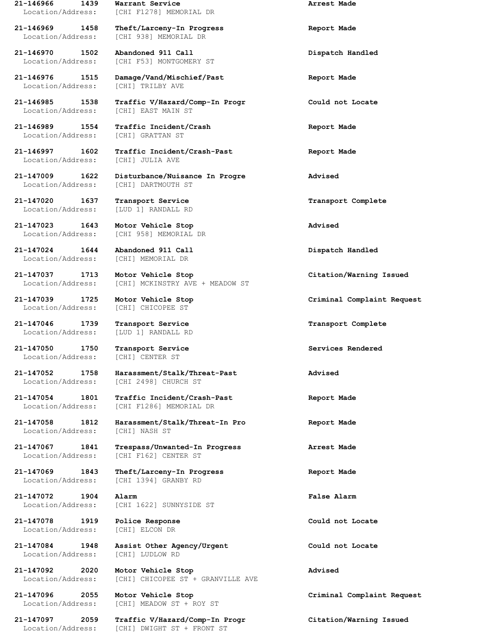Location/Address: [CHI 938] MEMORIAL DR

**21-146970 1502 Abandoned 911 Call Dispatch Handled**

**21-146976 1515 Damage/Vand/Mischief/Past Report Made** Location/Address: [CHI] TRILBY AVE

**21-146989 1554 Traffic Incident/Crash Report Made** Location/Address: [CHI] GRATTAN ST

Location/Address: [CHI] JULIA AVE

**21-147020 1637 Transport Service Transport Complete**

**21-147023 1643 Motor Vehicle Stop Advised**

**21-147024 1644 Abandoned 911 Call Dispatch Handled**

**21-147050 1750 Transport Service Services Rendered** Location/Address: [CHI] CENTER ST

**21-147072 1904 Alarm False Alarm**

**21-147078 1919 Police Response Could not Locate** Location/Address: [CHI] ELCON DR

Location/Address: [CHI] LUDLOW RD

**21-146966 1439 Warrant Service Arrest Made** Location/Address: [CHI F1278] MEMORIAL DR

**21-146969 1458 Theft/Larceny-In Progress Report Made**

Location/Address: [CHI F53] MONTGOMERY ST

**21-146985 1538 Traffic V/Hazard/Comp-In Progr Could not Locate** Location/Address: [CHI] EAST MAIN ST

**21-146997 1602 Traffic Incident/Crash-Past Report Made**

**21-147009 1622 Disturbance/Nuisance In Progre Advised** Location/Address: [CHI] DARTMOUTH ST

Location/Address: [LUD 1] RANDALL RD

Location/Address: [CHI 958] MEMORIAL DR

Location/Address: [CHI] MEMORIAL DR

**21-147037 1713 Motor Vehicle Stop Citation/Warning Issued** Location/Address: [CHI] MCKINSTRY AVE + MEADOW ST

Location/Address: [CHI] CHICOPEE ST

**21-147046 1739 Transport Service Transport Complete** Location/Address: [LUD 1] RANDALL RD

**21-147052 1758 Harassment/Stalk/Threat-Past Advised** [CHI 2498] CHURCH ST

**21-147054 1801 Traffic Incident/Crash-Past Report Made** Location/Address: [CHI F1286] MEMORIAL DR

**21-147058 1812 Harassment/Stalk/Threat-In Pro Report Made** Location/Address: [CHI] NASH ST

**21-147067 1841 Trespass/Unwanted-In Progress Arrest Made** Location/Address: [CHI F162] CENTER ST

**21-147069 1843 Theft/Larceny-In Progress Report Made** Location/Address: [CHI 1394] GRANBY RD

Location/Address: [CHI 1622] SUNNYSIDE ST

**21-147084 1948 Assist Other Agency/Urgent Could not Locate**

**21-147092 2020 Motor Vehicle Stop Advised** Location/Address: [CHI] CHICOPEE ST + GRANVILLE AVE

Location/Address: [CHI] MEADOW ST + ROY ST

**21-147097 2059 Traffic V/Hazard/Comp-In Progr Citation/Warning Issued** Location/Address: [CHI] DWIGHT ST + FRONT ST

**21-147039 1725 Motor Vehicle Stop Criminal Complaint Request**

**21-147096 2055 Motor Vehicle Stop Criminal Complaint Request**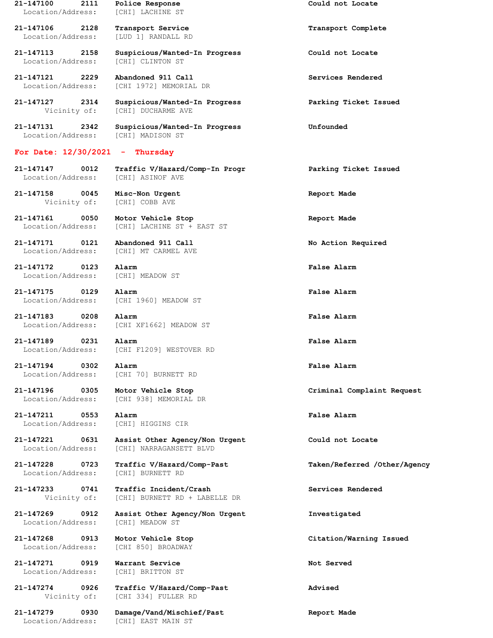**21-147100 2111 Police Response Could not Locate** Location/Address: [CHI] LACHINE ST **21-147106 2128 Transport Service Transport Complete** Location/Address: [LUD 1] RANDALL RD **21-147113 2158 Suspicious/Wanted-In Progress Could not Locate** Location/Address: [CHI] CLINTON ST **21-147121 2229 Abandoned 911 Call Services Rendered** Location/Address: [CHI 1972] MEMORIAL DR **21-147127 2314 Suspicious/Wanted-In Progress Parking Ticket Issued** Vicinity of: [CHI] DUCHARME AVE **21-147131 2342 Suspicious/Wanted-In Progress Unfounded** Location/Address: [CHI] MADISON ST **For Date: 12/30/2021 - Thursday 21-147147 0012 Traffic V/Hazard/Comp-In Progr Parking Ticket Issued** Location/Address: [CHI] ASINOF AVE **21-147158 0045 Misc-Non Urgent Report Made** Vicinity of: [CHI] COBB AVE **21-147161 0050 Motor Vehicle Stop Report Made** Location/Address: [CHI] LACHINE ST + EAST ST **21-147171 0121 Abandoned 911 Call No Action Required** Location/Address: [CHI] MT CARMEL AVE **21-147172 0123 Alarm False Alarm** Location/Address: [CHI] MEADOW ST **21-147175 0129 Alarm False Alarm** Location/Address: [CHI 1960] MEADOW ST **21-147183 0208 Alarm False Alarm** Location/Address: [CHI XF1662] MEADOW ST **21-147189 0231 Alarm False Alarm** Location/Address: [CHI F1209] WESTOVER RD **21-147194 0302 Alarm False Alarm** Location/Address: [CHI 70] BURNETT RD **21-147196 0305 Motor Vehicle Stop Criminal Complaint Request** [CHI 938] MEMORIAL DR **21-147211 0553 Alarm False Alarm** Location/Address: [CHI] HIGGINS CIR **21-147221 0631 Assist Other Agency/Non Urgent Could not Locate** Location/Address: [CHI] NARRAGANSETT BLVD **21-147228 0723 Traffic V/Hazard/Comp-Past Taken/Referred /Other/Agency** Location/Address: [CHI] BURNETT RD **21-147233 0741 Traffic Incident/Crash Services Rendered** Vicinity of: [CHI] BURNETT RD + LABELLE DR **21-147269 0912 Assist Other Agency/Non Urgent Investigated** Location/Address: [CHI] MEADOW ST **21-147268 0913 Motor Vehicle Stop Citation/Warning Issued** Location/Address: [CHI 850] BROADWAY **21-147271 0919 Warrant Service Not Served** Location/Address: [CHI] BRITTON ST **21-147274 0926 Traffic V/Hazard/Comp-Past Advised** Vicinity of: [CHI 334] FULLER RD **21-147279 0930 Damage/Vand/Mischief/Past Report Made**

Location/Address: [CHI] EAST MAIN ST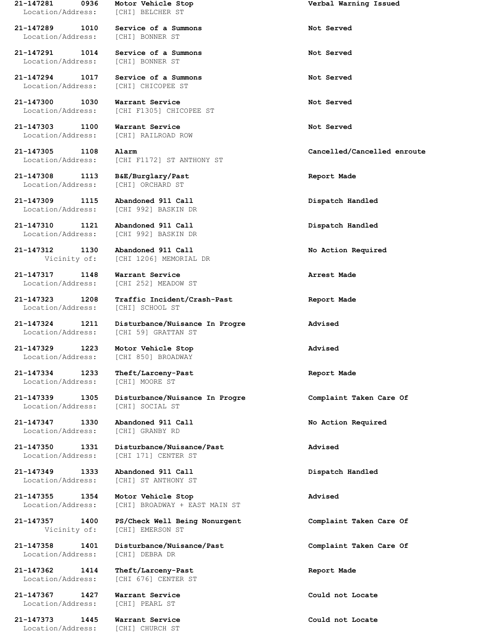Location/Address: [CHI] BELCHER ST

Location/Address: [CHI] BONNER ST

**21-147291 1014 Service of a Summons Not Served**

**21-147303 1100 Warrant Service Not Served**

**21-147308 1113 B&E/Burglary/Past Report Made**

**21-147309 1115 Abandoned 911 Call Dispatch Handled**

**21-147310 1121 Abandoned 911 Call Dispatch Handled**

**21-147317 1148 Warrant Service Arrest Made**

Location/Address: [CHI] SCHOOL ST

Location/Address: [CHI 850] BROADWAY

Location/Address: [CHI] MOORE ST

**21-147347 1330 Abandoned 911 Call No Action Required** Location/Address: [CHI] GRANBY RD

Location/Address: [CHI] ST ANTHONY ST

Location/Address: [CHI] DEBRA DR

**21-147362 1414 Theft/Larceny-Past Report Made**

**21-147367 1427 Warrant Service Could not Locate** Location/Address: [CHI] PEARL ST

**21-147373 1445 Warrant Service Could not Locate** Location/Address: [CHI] CHURCH ST

**21-147289 1010 Service of a Summons Not Served**

Location/Address: [CHI] BONNER ST

**21-147294 1017 Service of a Summons Not Served** Location/Address: [CHI] CHICOPEE ST

**21-147300 1030 Warrant Service Not Served** [CHI F1305] CHICOPEE ST

Location/Address: [CHI] RAILROAD ROW

Location/Address: [CHI F1172] ST ANTHONY ST

Location/Address: [CHI] ORCHARD ST

Location/Address: [CHI 992] BASKIN DR

Location/Address: [CHI 992] BASKIN DR

**21-147312 1130 Abandoned 911 Call No Action Required** Vicinity of: [CHI 1206] MEMORIAL DR

Location/Address: [CHI 252] MEADOW ST

**21-147323 1208 Traffic Incident/Crash-Past Report Made**

**21-147324 1211 Disturbance/Nuisance In Progre Advised** Location/Address: [CHI 59] GRATTAN ST

**21-147329 1223 Motor Vehicle Stop Advised**

**21-147334 1233 Theft/Larceny-Past Report Made**

**21-147339 1305 Disturbance/Nuisance In Progre Complaint Taken Care Of** Location/Address: [CHI] SOCIAL ST

**21-147350 1331 Disturbance/Nuisance/Past Advised** Location/Address: [CHI 171] CENTER ST

**21-147349 1333 Abandoned 911 Call Dispatch Handled**

**21-147355 1354 Motor Vehicle Stop Advised** Location/Address: [CHI] BROADWAY + EAST MAIN ST

**21-147357 1400 PS/Check Well Being Nonurgent Complaint Taken Care Of** Vicinity of: [CHI] EMERSON ST

**21-147358 1401 Disturbance/Nuisance/Past Complaint Taken Care Of**

Location/Address: [CHI 676] CENTER ST

**21-147281 0936 Motor Vehicle Stop Verbal Warning Issued**

**21-147305 1108 Alarm Cancelled/Cancelled enroute**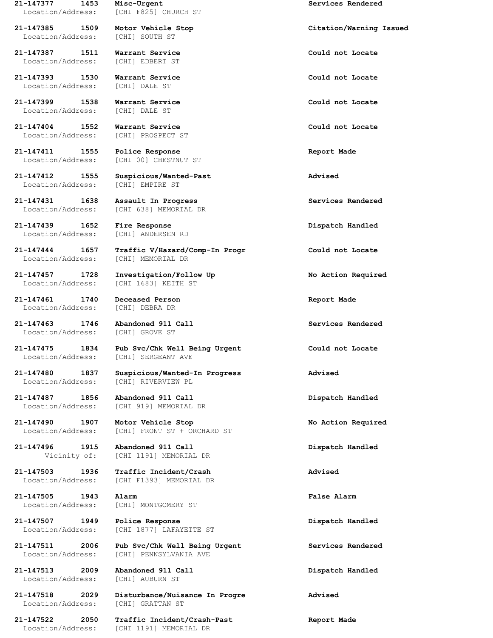Location/Address: [CHI] SOUTH ST

**21-147387 1511 Warrant Service Could not Locate** Location/Address: [CHI] EDBERT ST

**21-147393 1530 Warrant Service Could not Locate** Location/Address: [CHI] DALE ST

Location/Address: [CHI] DALE ST

**21-147404 1552 Warrant Service Could not Locate** Location/Address: [CHI] PROSPECT ST

**21-147411 1555 Police Response Report Made**

**21-147431 1638 Assault In Progress Services Rendered**

**21-147439 1652 Fire Response Dispatch Handled**

Location/Address: [CHI] MEMORIAL DR

**21-147461 1740 Deceased Person Report Made** Location/Address: [CHI] DEBRA DR

Location/Address: [CHI] GROVE ST

Location/Address: [CHI] RIVERVIEW PL

**21-147505 1943 Alarm False Alarm**

**21-147507 1949 Police Response Dispatch Handled**

**21-147513 2009 Abandoned 911 Call Dispatch Handled** Location/Address: [CHI] AUBURN ST

Location/Address: [CHI] GRATTAN ST

**21-147377 1453 Misc-Urgent Services Rendered** Location/Address: [CHI F825] CHURCH ST

**21-147399 1538 Warrant Service Could not Locate**

Location/Address: [CHI 00] CHESTNUT ST

**21-147412 1555 Suspicious/Wanted-Past Advised** Location/Address: [CHI] EMPIRE ST

Location/Address: [CHI 638] MEMORIAL DR

Location/Address: [CHI] ANDERSEN RD

**21-147444 1657 Traffic V/Hazard/Comp-In Progr Could not Locate**

**21-147457 1728 Investigation/Follow Up No Action Required** Location/Address: [CHI 1683] KEITH ST

**21-147475 1834 Pub Svc/Chk Well Being Urgent Could not Locate** Location/Address: [CHI] SERGEANT AVE

**21-147480 1837 Suspicious/Wanted-In Progress Advised**

**21-147487 1856 Abandoned 911 Call Dispatch Handled** Location/Address: [CHI 919] MEMORIAL DR

**21-147490 1907 Motor Vehicle Stop No Action Required** Location/Address: [CHI] FRONT ST + ORCHARD ST

**21-147496 1915 Abandoned 911 Call Dispatch Handled** Vicinity of: [CHI 1191] MEMORIAL DR

**21-147503 1936 Traffic Incident/Crash Advised** Location/Address: [CHI F1393] MEMORIAL DR

Location/Address: [CHI] MONTGOMERY ST

Location/Address: [CHI 1877] LAFAYETTE ST

**21-147511 2006 Pub Svc/Chk Well Being Urgent Services Rendered** Location/Address: [CHI] PENNSYLVANIA AVE

**21-147518 2029 Disturbance/Nuisance In Progre Advised**

**21-147522 2050 Traffic Incident/Crash-Past Report Made** Location/Address: [CHI 1191] MEMORIAL DR

**21-147385 1509 Motor Vehicle Stop Citation/Warning Issued**

**21-147463 1746 Abandoned 911 Call Services Rendered**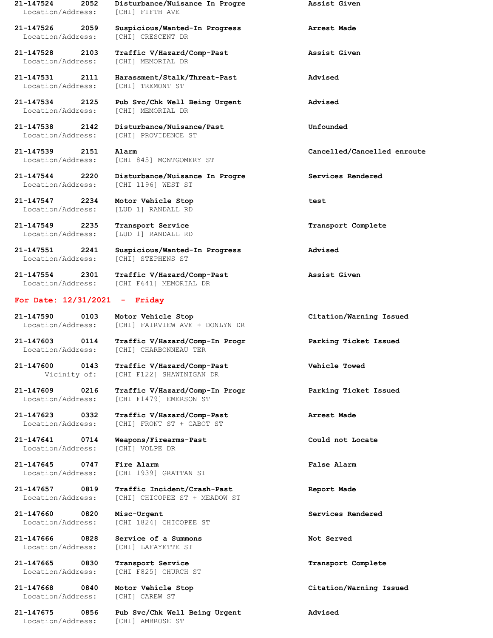**21-147524 2052 Disturbance/Nuisance In Progre Assist Given** Location/Address: [CHI] FIFTH AVE

**21-147526 2059 Suspicious/Wanted-In Progress Arrest Made** Location/Address: [CHI] CRESCENT DR

**21-147528 2103 Traffic V/Hazard/Comp-Past Assist Given** Location/Address: [CHI] MEMORIAL DR

**21-147531 2111 Harassment/Stalk/Threat-Past Advised** Location/Address: [CHI] TREMONT ST

**21-147534 2125 Pub Svc/Chk Well Being Urgent Advised** Location/Address: [CHI] MEMORIAL DR

**21-147538 2142 Disturbance/Nuisance/Past Unfounded** Location/Address: [CHI] PROVIDENCE ST

Location/Address: [CHI 845] MONTGOMERY ST

**21-147544 2220 Disturbance/Nuisance In Progre Services Rendered** Location/Address: [CHI 1196] WEST ST

**21-147547 2234 Motor Vehicle Stop test** Location/Address: [LUD 1] RANDALL RD

**21-147549 2235 Transport Service Transport Complete** Location/Address: [LUD 1] RANDALL RD

**21-147551 2241 Suspicious/Wanted-In Progress Advised** Location/Address: [CHI] STEPHENS ST

**21-147554 2301 Traffic V/Hazard/Comp-Past Assist Given** Location/Address: [CHI F641] MEMORIAL DR

## **For Date: 12/31/2021 - Friday**

**21-147590 0103 Motor Vehicle Stop Citation/Warning Issued** Location/Address: [CHI] FAIRVIEW AVE + DONLYN DR

**21-147603 0114 Traffic V/Hazard/Comp-In Progr Parking Ticket Issued** Location/Address: [CHI] CHARBONNEAU TER

**21-147600 0143 Traffic V/Hazard/Comp-Past Vehicle Towed** Vicinity of: [CHI F122] SHAWINIGAN DR

**21-147609 0216 Traffic V/Hazard/Comp-In Progr Parking Ticket Issued** Location/Address: [CHI F1479] EMERSON ST

**21-147623 0332 Traffic V/Hazard/Comp-Past Arrest Made** Location/Address: [CHI] FRONT ST + CABOT ST

**21-147641 0714 Weapons/Firearms-Past Could not Locate** Location/Address: [CHI] VOLPE DR

**21-147645 0747 Fire Alarm False Alarm** Location/Address: [CHI 1939] GRATTAN ST

**21-147657 0819 Traffic Incident/Crash-Past Report Made** Location/Address: [CHI] CHICOPEE ST + MEADOW ST

**21-147660 0820 Misc-Urgent Services Rendered** Location/Address: [CHI 1824] CHICOPEE ST

**21-147666 0828 Service of a Summons Not Served** Location/Address: [CHI] LAFAYETTE ST

**21-147665 0830 Transport Service Transport Complete** Location/Address: [CHI F825] CHURCH ST

Location/Address: [CHI] CAREW ST

**21-147675 0856 Pub Svc/Chk Well Being Urgent Advised** Location/Address: [CHI] AMBROSE ST

**21-147539 2151 Alarm Cancelled/Cancelled enroute**

**21-147668 0840 Motor Vehicle Stop Citation/Warning Issued**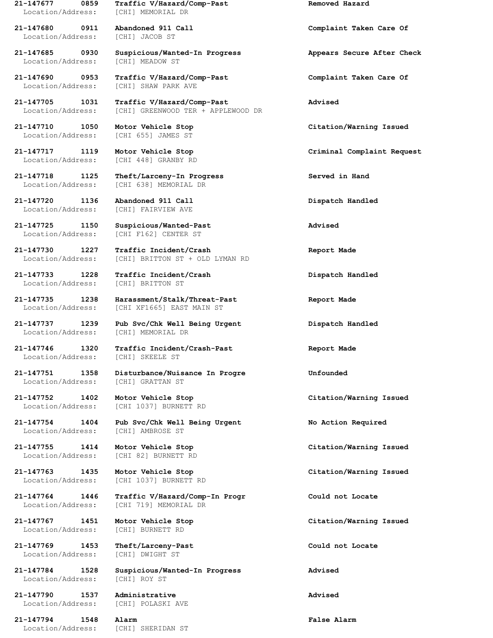Location/Address: [CHI] MEMORIAL DR

Location/Address: [CHI] JACOB ST

Location/Address: [CHI] MEADOW ST

Location/Address: [CHI 448] GRANBY RD

**21-147720 1136 Abandoned 911 Call Dispatch Handled** Location/Address: [CHI] FAIRVIEW AVE

**21-147733 1228 Traffic Incident/Crash Dispatch Handled** Location/Address: [CHI] BRITTON ST

Location/Address: [CHI] MEMORIAL DR

Location/Address: [CHI] SKEELE ST

Location/Address: [CHI] GRATTAN ST

Location/Address: [CHI] AMBROSE ST

Location/Address: [CHI] BURNETT RD

**21-147769 1453 Theft/Larceny-Past Could not Locate** Location/Address: [CHI] DWIGHT ST

Location/Address: [CHI] ROY ST

**21-147790 1537 Administrative Advised** Location/Address: [CHI] POLASKI AVE

**21-147794 1548 Alarm False Alarm** Location/Address: [CHI] SHERIDAN ST

**21-147677 0859 Traffic V/Hazard/Comp-Past Removed Hazard**

**21-147685 0930 Suspicious/Wanted-In Progress Appears Secure After Check**

**21-147690 0953 Traffic V/Hazard/Comp-Past Complaint Taken Care Of** Location/Address: [CHI] SHAW PARK AVE

**21-147705 1031 Traffic V/Hazard/Comp-Past Advised** Location/Address: [CHI] GREENWOOD TER + APPLEWOOD DR

Location/Address: [CHI 655] JAMES ST

**21-147718 1125 Theft/Larceny-In Progress Served in Hand** Location/Address: [CHI 638] MEMORIAL DR

**21-147725 1150 Suspicious/Wanted-Past Advised** Location/Address: [CHI F162] CENTER ST

**21-147730 1227 Traffic Incident/Crash Report Made** Location/Address: [CHI] BRITTON ST + OLD LYMAN RD

**21-147735 1238 Harassment/Stalk/Threat-Past Report Made** Location/Address: [CHI XF1665] EAST MAIN ST

**21-147737 1239 Pub Svc/Chk Well Being Urgent Dispatch Handled**

**21-147746 1320 Traffic Incident/Crash-Past Report Made**

**21-147751 1358 Disturbance/Nuisance In Progre Unfounded**

Location/Address: [CHI 1037] BURNETT RD

**21-147754 1404 Pub Svc/Chk Well Being Urgent No Action Required**

**21-147755 1414 Motor Vehicle Stop Citation/Warning Issued** Location/Address: [CHI 82] BURNETT RD

Location/Address: [CHI 1037] BURNETT RD

**21-147764 1446 Traffic V/Hazard/Comp-In Progr Could not Locate** Location/Address: [CHI 719] MEMORIAL DR

**21-147784 1528 Suspicious/Wanted-In Progress Advised**

**21-147680 0911 Abandoned 911 Call Complaint Taken Care Of**

**21-147710 1050 Motor Vehicle Stop Citation/Warning Issued**

**21-147717 1119 Motor Vehicle Stop Criminal Complaint Request**

**21-147752 1402 Motor Vehicle Stop Citation/Warning Issued**

**21-147763 1435 Motor Vehicle Stop Citation/Warning Issued**

**21-147767 1451 Motor Vehicle Stop Citation/Warning Issued**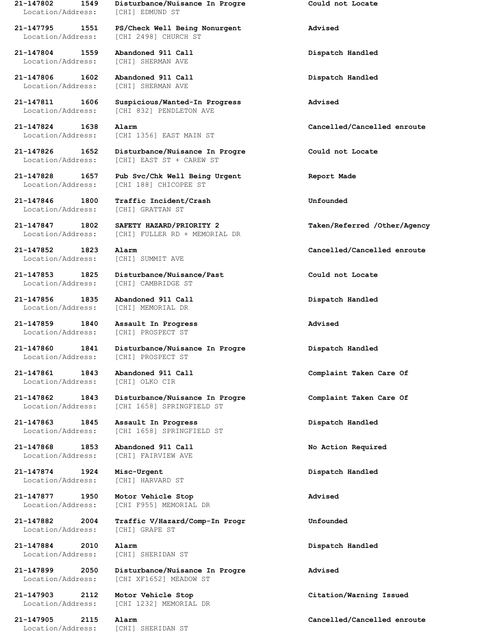Location/Address: [CHI] EDMUND ST

Location/Address: [CHI 2498] CHURCH ST

**21-147804 1559 Abandoned 911 Call Dispatch Handled** Location/Address: [CHI] SHERMAN AVE

**21-147806 1602 Abandoned 911 Call Dispatch Handled** Location/Address: [CHI] SHERMAN AVE

**21-147846 1800 Traffic Incident/Crash Unfounded**

**21-147856 1835 Abandoned 911 Call Dispatch Handled** Location/Address: [CHI] MEMORIAL DR

Location/Address: [CHI] PROSPECT ST

Location/Address: [CHI] OLKO CIR

**21-147874 1924 Misc-Urgent Dispatch Handled** Location/Address: [CHI] HARVARD ST

**21-147877 1950 Motor Vehicle Stop Advised**

Location/Address: [CHI] GRAPE ST

**21-147884 2010 Alarm Dispatch Handled**

Location/Address: [CHI] SHERIDAN ST

**21-147802 1549 Disturbance/Nuisance In Progre Could not Locate**

**21-147795 1551 PS/Check Well Being Nonurgent Advised**

**21-147811 1606 Suspicious/Wanted-In Progress Advised** [CHI 832] PENDLETON AVE

Location/Address: [CHI 1356] EAST MAIN ST

**21-147826 1652 Disturbance/Nuisance In Progre Could not Locate** Location/Address: [CHI] EAST ST + CAREW ST

**21-147828 1657 Pub Svc/Chk Well Being Urgent Report Made** Location/Address: [CHI 188] CHICOPEE ST

Location/Address: [CHI] GRATTAN ST

**21-147847 1802 SAFETY HAZARD/PRIORITY 2 Taken/Referred /Other/Agency** Location/Address: [CHI] FULLER RD + MEMORIAL DR

Location/Address: [CHI] SUMMIT AVE

**21-147853 1825 Disturbance/Nuisance/Past Could not Locate** Location/Address: [CHI] CAMBRIDGE ST

**21-147859 1840 Assault In Progress Advised** Location/Address: [CHI] PROSPECT ST

**21-147860 1841 Disturbance/Nuisance In Progre Dispatch Handled**

**21-147862 1843 Disturbance/Nuisance In Progre Complaint Taken Care Of** Location/Address: [CHI 1658] SPRINGFIELD ST

**21-147863 1845 Assault In Progress Dispatch Handled** Location/Address: [CHI 1658] SPRINGFIELD ST

**21-147868 1853 Abandoned 911 Call No Action Required** Location/Address: [CHI] FAIRVIEW AVE

Location/Address: [CHI F955] MEMORIAL DR

**21-147882 2004 Traffic V/Hazard/Comp-In Progr Unfounded**

Location/Address: [CHI] SHERIDAN ST

**21-147899 2050 Disturbance/Nuisance In Progre Advised** Location/Address: [CHI XF1652] MEADOW ST

Location/Address: [CHI 1232] MEMORIAL DR

**21-147824 1638 Alarm Cancelled/Cancelled enroute**

**21-147852 1823 Alarm Cancelled/Cancelled enroute**

**21-147861 1843 Abandoned 911 Call Complaint Taken Care Of**

**21-147903 2112 Motor Vehicle Stop Citation/Warning Issued**

**21-147905 2115 Alarm Cancelled/Cancelled enroute**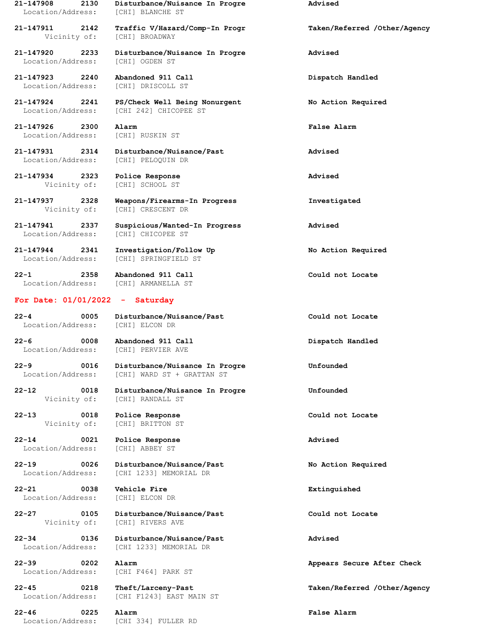Location/Address: [CHI] BLANCHE ST

Vicinity of: [CHI] BROADWAY

Location/Address: [CHI] OGDEN ST

**21-147923 2240 Abandoned 911 Call Dispatch Handled** Location/Address: [CHI] DRISCOLL ST

**21-147926 2300 Alarm False Alarm** Location/Address: [CHI] RUSKIN ST

**21-147934 2323 Police Response Advised**

Location/Address: [CHI] ARMANELLA ST

### **For Date: 01/01/2022 - Saturday**

Location/Address: [CHI] ELCON DR

**22-6 0008 Abandoned 911 Call Dispatch Handled**

**22-13 0018 Police Response Could not Locate**

**22-14 0021 Police Response Advised** Location/Address: [CHI] ABBEY ST

**22-21 0038 Vehicle Fire Extinguished** Location/Address: [CHI] ELCON DR

Location/Address: [CHI F464] PARK ST

**22-46 0225 Alarm False Alarm** Location/Address: [CHI 334] FULLER RD

**21-147908 2130 Disturbance/Nuisance In Progre Advised**

**21-147911 2142 Traffic V/Hazard/Comp-In Progr Taken/Referred /Other/Agency**

**21-147920 2233 Disturbance/Nuisance In Progre Advised**

**21-147924 2241 PS/Check Well Being Nonurgent No Action Required** Location/Address: [CHI 242] CHICOPEE ST

**21-147931 2314 Disturbance/Nuisance/Past Advised** Location/Address: [CHI] PELOQUIN DR

Vicinity of: [CHI] SCHOOL ST

**21-147937 2328 Weapons/Firearms-In Progress Investigated** Vicinity of: [CHI] CRESCENT DR

**21-147941 2337 Suspicious/Wanted-In Progress Advised** Location/Address: [CHI] CHICOPEE ST

**21-147944 2341 Investigation/Follow Up No Action Required** Location/Address: [CHI] SPRINGFIELD ST

**22-1 2358 Abandoned 911 Call Could not Locate**

**22-4 0005 Disturbance/Nuisance/Past Could not Locate**

Location/Address: [CHI] PERVIER AVE

**22-9 0016 Disturbance/Nuisance In Progre Unfounded** Location/Address: [CHI] WARD ST + GRATTAN ST

**22-12 0018 Disturbance/Nuisance In Progre Unfounded** Vicinity of: [CHI] RANDALL ST

Vicinity of: [CHI] BRITTON ST

**22-19 0026 Disturbance/Nuisance/Past No Action Required** Location/Address: [CHI 1233] MEMORIAL DR

**22-27 0105 Disturbance/Nuisance/Past Could not Locate** Vicinity of: [CHI] RIVERS AVE

**22-34 0136 Disturbance/Nuisance/Past Advised** Location/Address: [CHI 1233] MEMORIAL DR

Location/Address: [CHI F1243] EAST MAIN ST

**22-39 0202 Alarm Appears Secure After Check**

**22-45 0218 Theft/Larceny-Past Taken/Referred /Other/Agency**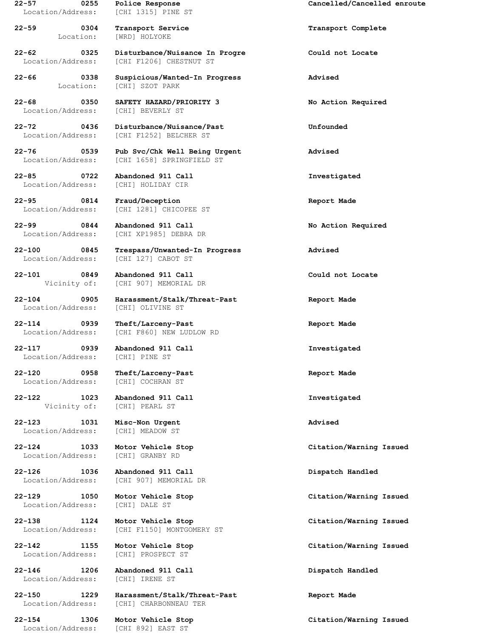Location/Address: [CHI 1315] PINE ST

**22-59 0304 Transport Service Transport Complete**

Location/Address: [CHI] BEVERLY ST

**22-85 0722 Abandoned 911 Call Investigated** Location/Address: [CHI] HOLIDAY CIR

**22-95 0814 Fraud/Deception Report Made**

**22-99 0844 Abandoned 911 Call No Action Required**

Location/Address: [CHI 127] CABOT ST

**22-101 0849 Abandoned 911 Call Could not Locate**

Location/Address: [CHI] OLIVINE ST

Location/Address: [CHI] PINE ST

**22-120 0958 Theft/Larceny-Past Report Made** Location/Address: [CHI] COCHRAN ST

**22-122 1023 Abandoned 911 Call Investigated**

**22-123 1031 Misc-Non Urgent Advised** Location/Address: [CHI] MEADOW ST

Location/Address: [CHI] GRANBY RD

**22-126 1036 Abandoned 911 Call Dispatch Handled**

Location/Address: [CHI] DALE ST

Location/Address: [CHI] PROSPECT ST

**22-146 1206 Abandoned 911 Call Dispatch Handled** Location/Address: [CHI] IRENE ST

Location/Address: [CHI 892] EAST ST

Location: [WRD] HOLYOKE

**22-62 0325 Disturbance/Nuisance In Progre Could not Locate** Location/Address: [CHI F1206] CHESTNUT ST

**22-66 0338 Suspicious/Wanted-In Progress Advised** Location: [CHI] SZOT PARK

**22-68 0350 SAFETY HAZARD/PRIORITY 3 No Action Required**

**22-72 0436 Disturbance/Nuisance/Past Unfounded** Location/Address: [CHI F1252] BELCHER ST

**22-76 0539 Pub Svc/Chk Well Being Urgent Advised** Location/Address: [CHI 1658] SPRINGFIELD ST

Location/Address: [CHI 1281] CHICOPEE ST

Location/Address: [CHI XP1985] DEBRA DR

**22-100 0845 Trespass/Unwanted-In Progress Advised**

Vicinity of: [CHI 907] MEMORIAL DR

**22-104 0905 Harassment/Stalk/Threat-Past Report Made**

**22-114 0939 Theft/Larceny-Past Report Made** Location/Address: [CHI F860] NEW LUDLOW RD

**22-117 0939 Abandoned 911 Call Investigated**

Vicinity of: [CHI] PEARL ST

Location/Address: [CHI 907] MEMORIAL DR

Location/Address: [CHI F1150] MONTGOMERY ST

**22-150 1229 Harassment/Stalk/Threat-Past Report Made** Location/Address: [CHI] CHARBONNEAU TER

**22-57 0255 Police Response Cancelled/Cancelled enroute**

**22-124 1033 Motor Vehicle Stop Citation/Warning Issued**

**22-129 1050 Motor Vehicle Stop Citation/Warning Issued**

**22-138 1124 Motor Vehicle Stop Citation/Warning Issued**

**22-142 1155 Motor Vehicle Stop Citation/Warning Issued**

**22-154 1306 Motor Vehicle Stop Citation/Warning Issued**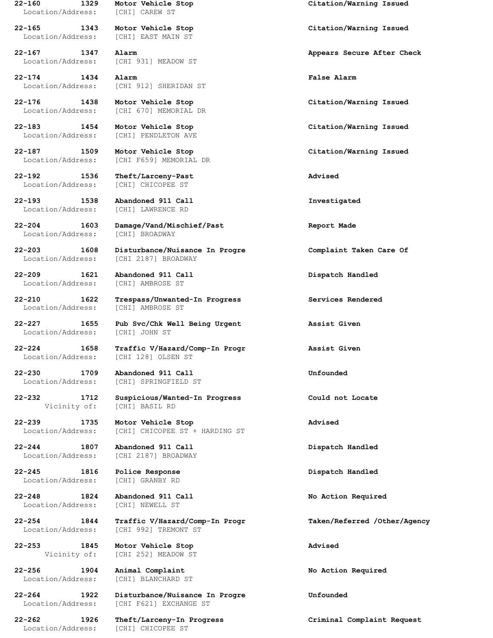Location/Address: [CHI] CAREW ST

Location/Address: [CHI] EAST MAIN ST

Location/Address: [CHI] PENDLETON AVE

**22-192 1536 Theft/Larceny-Past Advised** Location/Address: [CHI] CHICOPEE ST

**22-193 1538 Abandoned 911 Call Investigated**

Location/Address: [CHI] BROADWAY

Location/Address: [CHI 2187] BROADWAY

**22-209 1621 Abandoned 911 Call Dispatch Handled** Location/Address: [CHI] AMBROSE ST

Location/Address: [CHI] AMBROSE ST

Location/Address: [CHI] JOHN ST

Location/Address: [CHI 128] OLSEN ST

**22-230 1709 Abandoned 911 Call Unfounded**

**22-245 1816 Police Response Dispatch Handled** Location/Address: [CHI] GRANBY RD

**22-248 1824 Abandoned 911 Call No Action Required** Location/Address: [CHI] NEWELL ST

**22-253 1845 Motor Vehicle Stop Advised**

**22-256 1904 Animal Complaint No Action Required** Location/Address: [CHI] BLANCHARD ST

Location/Address: [CHI] CHICOPEE ST

Location/Address: [CHI 931] MEADOW ST

**22-174 1434 Alarm False Alarm** Location/Address: [CHI 912] SHERIDAN ST

**22-176 1438 Motor Vehicle Stop Citation/Warning Issued** [CHI 670] MEMORIAL DR

Location/Address: [CHI F659] MEMORIAL DR

Location/Address: [CHI] LAWRENCE RD

**22-204 1603 Damage/Vand/Mischief/Past Report Made**

**22-203 1608 Disturbance/Nuisance In Progre Complaint Taken Care Of**

**22-210 1622 Trespass/Unwanted-In Progress Services Rendered**

**22-227 1655 Pub Svc/Chk Well Being Urgent Assist Given**

**22-224 1658 Traffic V/Hazard/Comp-In Progr Assist Given**

Location/Address: [CHI] SPRINGFIELD ST

**22-232 1712 Suspicious/Wanted-In Progress Could not Locate** Vicinity of: [CHI] BASIL RD

**22-239 1735 Motor Vehicle Stop Advised** Location/Address: [CHI] CHICOPEE ST + HARDING ST

**22-244 1807 Abandoned 911 Call Dispatch Handled** Location/Address: [CHI 2187] BROADWAY

Location/Address: [CHI 992] TREMONT ST

Vicinity of: [CHI 252] MEADOW ST

**22-264 1922 Disturbance/Nuisance In Progre Unfounded** Location/Address: [CHI F621] EXCHANGE ST

**22-160 1329 Motor Vehicle Stop Citation/Warning Issued**

**22-165 1343 Motor Vehicle Stop Citation/Warning Issued**

**22-167 1347 Alarm Appears Secure After Check**

**22-183 1454 Motor Vehicle Stop Citation/Warning Issued**

**22-187 1509 Motor Vehicle Stop Citation/Warning Issued**

**22-254 1844 Traffic V/Hazard/Comp-In Progr Taken/Referred /Other/Agency**

**22-262 1926 Theft/Larceny-In Progress Criminal Complaint Request**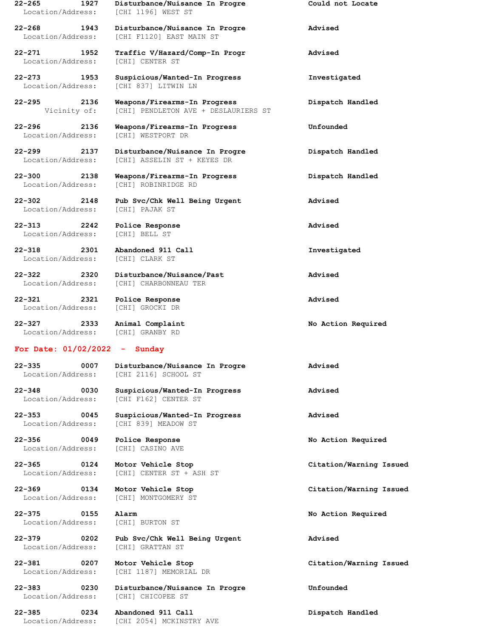|                                 | 22-265<br>1927<br>Location/Address:     | Disturbance/Nuisance In Progre<br>[CHI 1196] WEST ST                 | Could not Locate        |  |
|---------------------------------|-----------------------------------------|----------------------------------------------------------------------|-------------------------|--|
|                                 | 22-268<br>1943<br>Location/Address:     | Disturbance/Nuisance In Progre<br>[CHI F1120] EAST MAIN ST           | Advised                 |  |
|                                 | $22 - 271$<br>1952<br>Location/Address: | Traffic V/Hazard/Comp-In Progr<br><b>[CHI] CENTER ST</b>             | Advised                 |  |
|                                 | 22-273<br>1953<br>Location/Address:     | Suspicious/Wanted-In Progress<br>[CHI 837] LITWIN LN                 | Investigated            |  |
|                                 | 2136<br>Vicinity of:                    | Weapons/Firearms-In Progress<br>[CHI] PENDLETON AVE + DESLAURIERS ST | Dispatch Handled        |  |
|                                 | 22-296<br>2136<br>Location/Address:     | Weapons/Firearms-In Progress<br>[CHI] WESTPORT DR                    | Unfounded               |  |
|                                 | 22-299<br>2137<br>Location/Address:     | Disturbance/Nuisance In Progre<br>[CHI] ASSELIN ST + KEYES DR        | Dispatch Handled        |  |
|                                 | $22 - 300$<br>2138<br>Location/Address: | Weapons/Firearms-In Progress<br>[CHI] ROBINRIDGE RD                  | Dispatch Handled        |  |
|                                 | 22-302<br>2148<br>Location/Address:     | Pub Svc/Chk Well Being Urgent<br>[CHI] PAJAK ST                      | Advised                 |  |
|                                 | 22-313<br>2242<br>Location/Address:     | Police Response<br>[CHI] BELL ST                                     | Advised                 |  |
|                                 | 22-318<br>2301<br>Location/Address:     | Abandoned 911 Call<br>[CHI] CLARK ST                                 | Investigated            |  |
|                                 | 22-322<br>2320<br>Location/Address:     | Disturbance/Nuisance/Past<br>[CHI] CHARBONNEAU TER                   | Advised                 |  |
|                                 | 22-321<br>2321<br>Location/Address:     | Police Response<br>[CHI] GROCKI DR                                   | Advised                 |  |
|                                 | 2333<br>22-327<br>Location/Address:     | Animal Complaint<br>[CHI] GRANBY RD                                  | No Action Required      |  |
| For Date: $01/02/2022 -$ Sunday |                                         |                                                                      |                         |  |
|                                 | 22-335<br>0007<br>Location/Address:     | Disturbance/Nuisance In Progre<br>ICHI 21161 SCHOOL ST               | Advised                 |  |
|                                 | 22-348<br>0030<br>Location/Address:     | Suspicious/Wanted-In Progress<br>[CHI F162] CENTER ST                | Advised                 |  |
|                                 | 22-353<br>0045<br>Location/Address:     | Suspicious/Wanted-In Progress<br>[CHI 839] MEADOW ST                 | Advised                 |  |
|                                 | 22-356<br>0049<br>Location/Address:     | Police Response<br>[CHI] CASINO AVE                                  | No Action Required      |  |
|                                 | 22-365<br>0124<br>Location/Address:     | Motor Vehicle Stop<br>[CHI] CENTER ST + ASH ST                       | Citation/Warning Issued |  |
|                                 | 22-369<br>0134<br>Location/Address:     | Motor Vehicle Stop<br>[CHI] MONTGOMERY ST                            | Citation/Warning Issued |  |
|                                 | 22-375<br>0155<br>Location/Address:     | Alarm<br>[CHI] BURTON ST                                             | No Action Required      |  |
|                                 | 22-379<br>0202<br>Location/Address:     | Pub Svc/Chk Well Being Urgent<br>[CHI] GRATTAN ST                    | Advised                 |  |

**22-381 0207 Motor Vehicle Stop Citation/Warning Issued** Location/Address: [CHI 1187] MEMORIAL DR

**22-383 0230 Disturbance/Nuisance In Progre Unfounded** Location/Address: [CHI] CHICOPEE ST

**22-385 0234 Abandoned 911 Call Dispatch Handled** Location/Address: [CHI 2054] MCKINSTRY AVE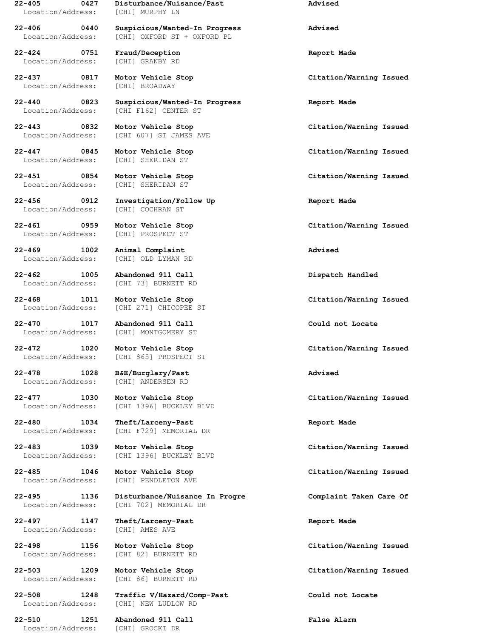Location/Address: [CHI] MURPHY LN

**22-424 0751 Fraud/Deception Report Made** Location/Address: [CHI] GRANBY RD

Location/Address: [CHI] BROADWAY

Location/Address: [CHI] SHERIDAN ST

Location/Address: [CHI] COCHRAN ST

Location/Address: [CHI] OLD LYMAN RD

**22-462 1005 Abandoned 911 Call Dispatch Handled**

**22-478 1028 B&E/Burglary/Past Advised**

**22-480 1034 Theft/Larceny-Past Report Made**

**22-497 1147 Theft/Larceny-Past Report Made** Location/Address: [CHI] AMES AVE

**22-510 1251 Abandoned 911 Call False Alarm** Location/Address: [CHI] GROCKI DR

**22-405 0427 Disturbance/Nuisance/Past Advised**

**22-406 0440 Suspicious/Wanted-In Progress Advised** Location/Address: [CHI] OXFORD ST + OXFORD PL

**22-440 0823 Suspicious/Wanted-In Progress Report Made** Location/Address: [CHI F162] CENTER ST

Location/Address: [CHI 607] ST JAMES AVE

Location/Address: [CHI] SHERIDAN ST

**22-456 0912 Investigation/Follow Up Report Made**

Location/Address: [CHI] PROSPECT ST

**22-469 1002 Animal Complaint Advised**

Location/Address: [CHI 73] BURNETT RD

Location/Address: [CHI 271] CHICOPEE ST

**22-470 1017 Abandoned 911 Call Could not Locate** Location/Address: [CHI] MONTGOMERY ST

Location/Address: [CHI 865] PROSPECT ST

Location/Address: [CHI] ANDERSEN RD

Location/Address: [CHI 1396] BUCKLEY BLVD

Location/Address: [CHI F729] MEMORIAL DR

**22-483 1039 Motor Vehicle Stop Citation/Warning Issued** Location/Address: [CHI 1396] BUCKLEY BLVD

Location/Address: [CHI] PENDLETON AVE

**22-495 1136 Disturbance/Nuisance In Progre Complaint Taken Care Of** Location/Address: [CHI 702] MEMORIAL DR

Location/Address: [CHI 82] BURNETT RD

Location/Address: [CHI 86] BURNETT RD

**22-508 1248 Traffic V/Hazard/Comp-Past Could not Locate** Location/Address: [CHI] NEW LUDLOW RD

**22-437 0817 Motor Vehicle Stop Citation/Warning Issued**

**22-443 0832 Motor Vehicle Stop Citation/Warning Issued**

**22-447 0845 Motor Vehicle Stop Citation/Warning Issued**

**22-451 0854 Motor Vehicle Stop Citation/Warning Issued**

**22-461 0959 Motor Vehicle Stop Citation/Warning Issued**

**22-468 1011 Motor Vehicle Stop Citation/Warning Issued**

**22-472 1020 Motor Vehicle Stop Citation/Warning Issued**

**22-477 1030 Motor Vehicle Stop Citation/Warning Issued**

**22-485 1046 Motor Vehicle Stop Citation/Warning Issued**

**22-498 1156 Motor Vehicle Stop Citation/Warning Issued**

**22-503 1209 Motor Vehicle Stop Citation/Warning Issued**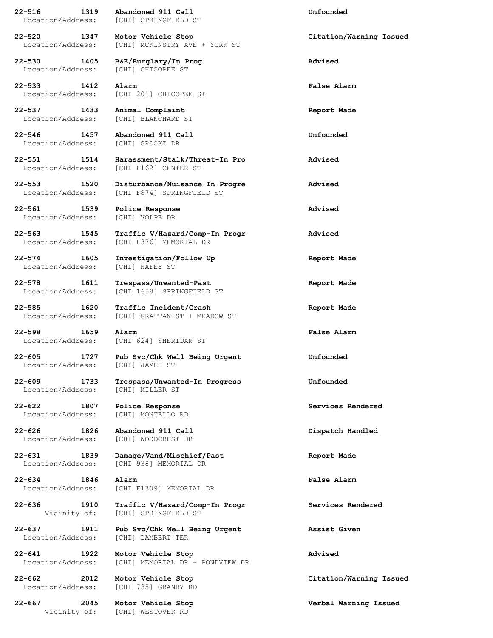**22-516 1319 Abandoned 911 Call Unfounded** Location/Address: [CHI] SPRINGFIELD ST

Location/Address: [CHI] CHICOPEE ST

**22-533 1412 Alarm False Alarm** Location/Address: [CHI 201] CHICOPEE ST

Location/Address: [CHI] BLANCHARD ST

**22-546 1457 Abandoned 911 Call Unfounded** Location/Address: [CHI] GROCKI DR

**22-561 1539 Police Response Advised** Location/Address: [CHI] VOLPE DR

Location/Address: [CHI] HAFEY ST

**22-598 1659 Alarm False Alarm**

Location/Address: [CHI] JAMES ST

Location/Address: [CHI] MILLER ST

**22-622 1807 Police Response Services Rendered** Location/Address: [CHI] MONTELLO RD

**22-626 1826 Abandoned 911 Call Dispatch Handled**

Location/Address: [CHI] LAMBERT TER

**22-520 1347 Motor Vehicle Stop Citation/Warning Issued** Location/Address: [CHI] MCKINSTRY AVE + YORK ST

**22-530 1405 B&E/Burglary/In Prog Advised**

**22-537 1433 Animal Complaint Report Made**

**22-551 1514 Harassment/Stalk/Threat-In Pro Advised** Location/Address: [CHI F162] CENTER ST

**22-553 1520 Disturbance/Nuisance In Progre Advised** Location/Address: [CHI F874] SPRINGFIELD ST

**22-563 1545 Traffic V/Hazard/Comp-In Progr Advised** Location/Address: [CHI F376] MEMORIAL DR

**22-574 1605 Investigation/Follow Up Report Made**

**22-578 1611 Trespass/Unwanted-Past Report Made** Location/Address: [CHI 1658] SPRINGFIELD ST

**22-585 1620 Traffic Incident/Crash Report Made** Location/Address: [CHI] GRATTAN ST + MEADOW ST

Location/Address: [CHI 624] SHERIDAN ST

**22-605 1727 Pub Svc/Chk Well Being Urgent Unfounded**

**22-609 1733 Trespass/Unwanted-In Progress Unfounded**

Location/Address: [CHI] WOODCREST DR

**22-631 1839 Damage/Vand/Mischief/Past Report Made** Location/Address: [CHI 938] MEMORIAL DR

**22-634 1846 Alarm False Alarm** Location/Address: [CHI F1309] MEMORIAL DR

**22-636 1910 Traffic V/Hazard/Comp-In Progr Services Rendered** Vicinity of: [CHI] SPRINGFIELD ST

**22-637 1911 Pub Svc/Chk Well Being Urgent Assist Given**

**22-641 1922 Motor Vehicle Stop Advised** Location/Address: [CHI] MEMORIAL DR + PONDVIEW DR

**22-662 2012 Motor Vehicle Stop Citation/Warning Issued** Location/Address: [CHI 735] GRANBY RD

Vicinity of: [CHI] WESTOVER RD

**22-667 2045 Motor Vehicle Stop Verbal Warning Issued**